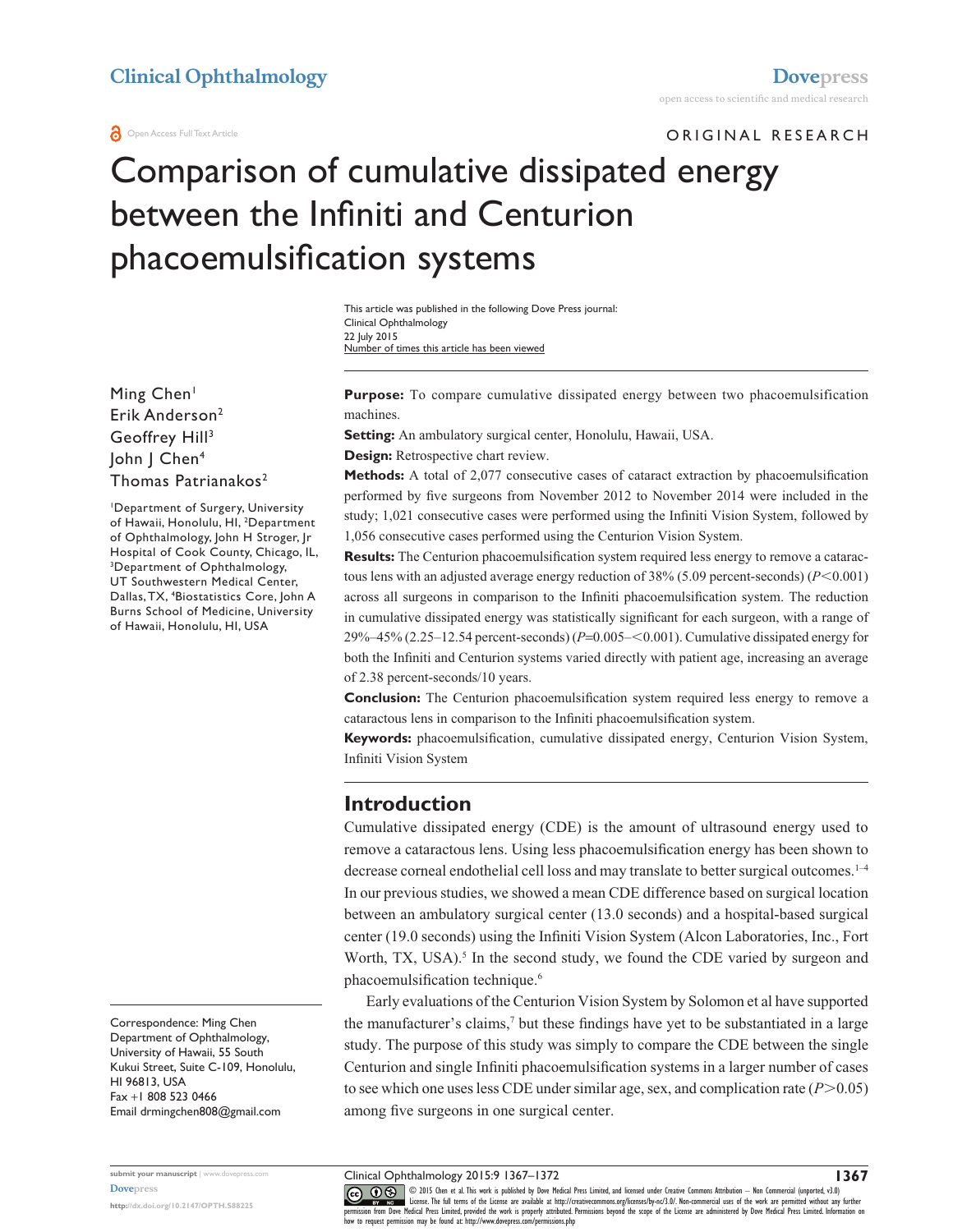ORIGINAL RESEARCH

# Comparison of cumulative dissipated energy between the Infiniti and Centurion phacoemulsification systems

**Design:** Retrospective chart review.

of 2.38 percent-seconds/10 years.

Infiniti Vision System

**Introduction**

machines.

Number of times this article has been viewed This article was published in the following Dove Press journal: Clinical Ophthalmology 22 July 2015

**Setting:** An ambulatory surgical center, Honolulu, Hawaii, USA.

1,056 consecutive cases performed using the Centurion Vision System.

cataractous lens in comparison to the Infiniti phacoemulsification system.

**Purpose:** To compare cumulative dissipated energy between two phacoemulsification

**Methods:** A total of 2,077 consecutive cases of cataract extraction by phacoemulsification performed by five surgeons from November 2012 to November 2014 were included in the study; 1,021 consecutive cases were performed using the Infiniti Vision System, followed by

**Results:** The Centurion phacoemulsification system required less energy to remove a cataractous lens with an adjusted average energy reduction of  $38\%$  (5.09 percent-seconds) ( $P < 0.001$ ) across all surgeons in comparison to the Infiniti phacoemulsification system. The reduction in cumulative dissipated energy was statistically significant for each surgeon, with a range of 29%–45% (2.25–12.54 percent-seconds) (P=0.005– $\leq$ 0.001). Cumulative dissipated energy for both the Infiniti and Centurion systems varied directly with patient age, increasing an average

**Conclusion:** The Centurion phacoemulsification system required less energy to remove a

**Keywords:** phacoemulsification, cumulative dissipated energy, Centurion Vision System,

Cumulative dissipated energy (CDE) is the amount of ultrasound energy used to remove a cataractous lens. Using less phacoemulsification energy has been shown to decrease corneal endothelial cell loss and may translate to better surgical outcomes.<sup>1-4</sup> In our previous studies, we showed a mean CDE difference based on surgical location between an ambulatory surgical center (13.0 seconds) and a hospital-based surgical center (19.0 seconds) using the Infiniti Vision System (Alcon Laboratories, Inc., Fort Worth, TX, USA).<sup>5</sup> In the second study, we found the CDE varied by surgeon and

Early evaluations of the Centurion Vision System by Solomon et al have supported the manufacturer's claims,<sup>7</sup> but these findings have yet to be substantiated in a large study. The purpose of this study was simply to compare the CDE between the single Centurion and single Infiniti phacoemulsification systems in a larger number of cases to see which one uses less CDE under similar age, sex, and complication rate  $(P>0.05)$ 

Ming Chen<sup>1</sup> Erik Anderson2 Geoffrey Hill<sup>3</sup> John | Chen<sup>4</sup> Thomas Patrianakos<sup>2</sup>

1 Department of Surgery, University of Hawaii, Honolulu, HI, 2 Department of Ophthalmology, John H Stroger, Jr Hospital of Cook County, Chicago, IL, 3 Department of Ophthalmology, UT Southwestern Medical Center, Dallas, TX, 4 Biostatistics Core, John A Burns School of Medicine, University of Hawaii, Honolulu, HI, USA

Correspondence: Ming Chen Department of Ophthalmology, University of Hawaii, 55 South Kukui Street, Suite C-109, Honolulu, HI 96813, USA Fax +1 808 523 0466 Email [drmingchen808@gmail.com](mailto:drmingchen808@gmail.com)

Clinical Ophthalmology 2015:9 1367–1372

among five surgeons in one surgical center.

phacoemulsification technique.6

**1367**

CO ODIS Chen et al. This work is published by Dove Medical Press Limited, and licensed under Creative Commons Attribution - Non Commercial (unported, v3.0)<br> [permission from Dove M](http://www.dovepress.com/permissions.php)edical Press Limited, provided the work is how to request permission may be found at: http://www.dovepress.com/permissions.php

**submit your manuscript** | <www.dovepress.com>

**<http://dx.doi.org/10.2147/OPTH.S88225>**

**[Dovepress](www.dovepress.com)**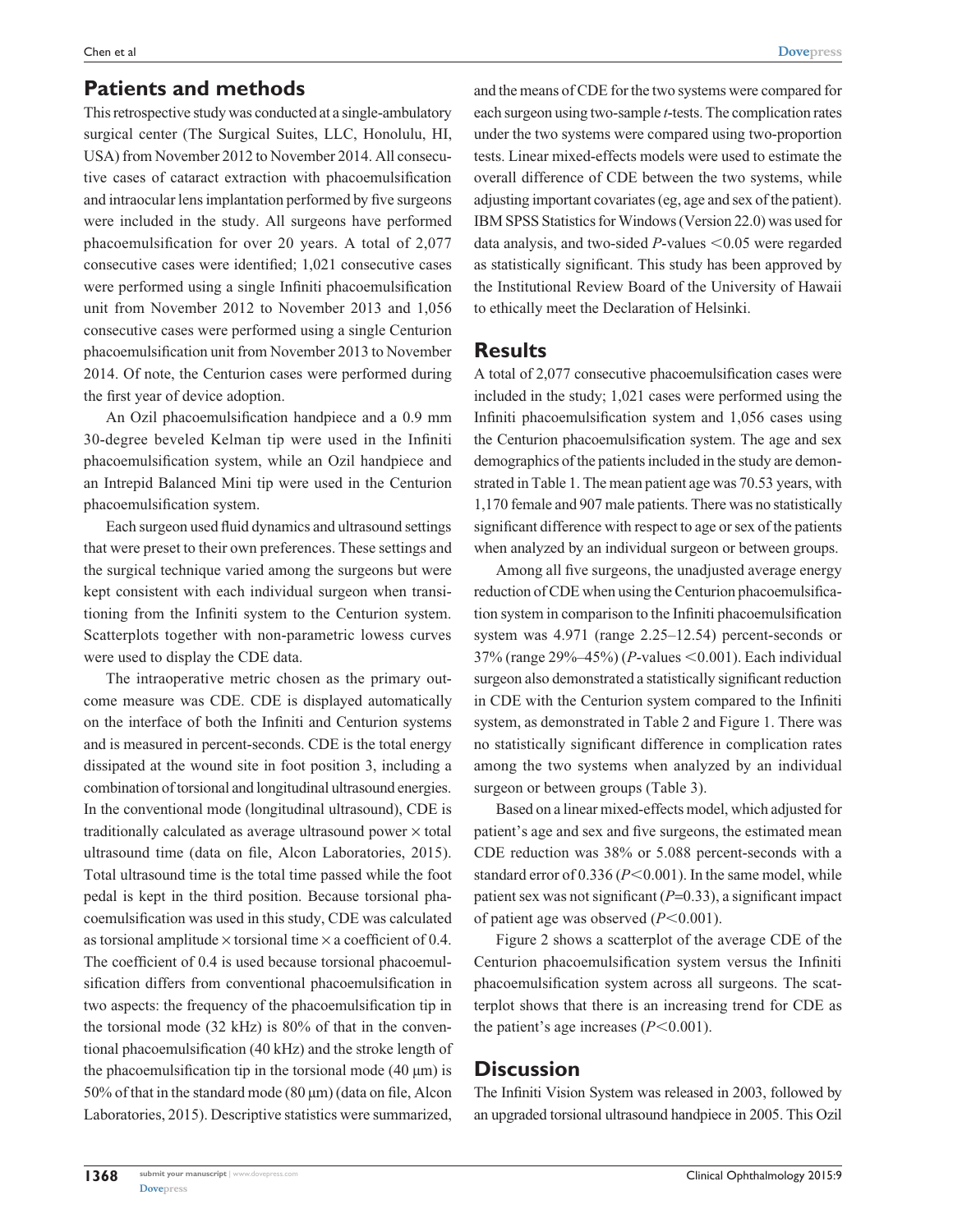# **Patients and methods**

This retrospective study was conducted at a single-ambulatory surgical center (The Surgical Suites, LLC, Honolulu, HI, USA) from November 2012 to November 2014. All consecutive cases of cataract extraction with phacoemulsification and intraocular lens implantation performed by five surgeons were included in the study. All surgeons have performed phacoemulsification for over 20 years. A total of 2,077 consecutive cases were identified; 1,021 consecutive cases were performed using a single Infiniti phacoemulsification unit from November 2012 to November 2013 and 1,056 consecutive cases were performed using a single Centurion phacoemulsification unit from November 2013 to November 2014. Of note, the Centurion cases were performed during the first year of device adoption.

An Ozil phacoemulsification handpiece and a 0.9 mm 30-degree beveled Kelman tip were used in the Infiniti phacoemulsification system, while an Ozil handpiece and an Intrepid Balanced Mini tip were used in the Centurion phacoemulsification system.

Each surgeon used fluid dynamics and ultrasound settings that were preset to their own preferences. These settings and the surgical technique varied among the surgeons but were kept consistent with each individual surgeon when transitioning from the Infiniti system to the Centurion system. Scatterplots together with non-parametric lowess curves were used to display the CDE data.

The intraoperative metric chosen as the primary outcome measure was CDE. CDE is displayed automatically on the interface of both the Infiniti and Centurion systems and is measured in percent-seconds. CDE is the total energy dissipated at the wound site in foot position 3, including a combination of torsional and longitudinal ultrasound energies. In the conventional mode (longitudinal ultrasound), CDE is traditionally calculated as average ultrasound power  $\times$  total ultrasound time (data on file, Alcon Laboratories, 2015). Total ultrasound time is the total time passed while the foot pedal is kept in the third position. Because torsional phacoemulsification was used in this study, CDE was calculated as torsional amplitude  $\times$  torsional time  $\times$  a coefficient of 0.4. The coefficient of 0.4 is used because torsional phacoemulsification differs from conventional phacoemulsification in two aspects: the frequency of the phacoemulsification tip in the torsional mode (32 kHz) is 80% of that in the conventional phacoemulsification (40 kHz) and the stroke length of the phacoemulsification tip in the torsional mode  $(40 \mu m)$  is 50% of that in the standard mode (80 µm) (data on file, Alcon Laboratories, 2015). Descriptive statistics were summarized,

and the means of CDE for the two systems were compared for each surgeon using two-sample *t*-tests. The complication rates under the two systems were compared using two-proportion tests. Linear mixed-effects models were used to estimate the overall difference of CDE between the two systems, while adjusting important covariates (eg, age and sex of the patient). IBM SPSS Statistics for Windows (Version 22.0) was used for data analysis, and two-sided  $P$ -values  $< 0.05$  were regarded as statistically significant. This study has been approved by the Institutional Review Board of the University of Hawaii to ethically meet the Declaration of Helsinki.

#### **Results**

A total of 2,077 consecutive phacoemulsification cases were included in the study; 1,021 cases were performed using the Infiniti phacoemulsification system and 1,056 cases using the Centurion phacoemulsification system. The age and sex demographics of the patients included in the study are demonstrated in Table 1. The mean patient age was 70.53 years, with 1,170 female and 907 male patients. There was no statistically significant difference with respect to age or sex of the patients when analyzed by an individual surgeon or between groups.

Among all five surgeons, the unadjusted average energy reduction of CDE when using the Centurion phacoemulsification system in comparison to the Infiniti phacoemulsification system was 4.971 (range 2.25–12.54) percent-seconds or 37% (range 29%–45%) (*P*-values <0.001). Each individual surgeon also demonstrated a statistically significant reduction in CDE with the Centurion system compared to the Infiniti system, as demonstrated in Table 2 and Figure 1. There was no statistically significant difference in complication rates among the two systems when analyzed by an individual surgeon or between groups (Table 3).

Based on a linear mixed-effects model, which adjusted for patient's age and sex and five surgeons, the estimated mean CDE reduction was 38% or 5.088 percent-seconds with a standard error of  $0.336 (P<0.001)$ . In the same model, while patient sex was not significant (*P*=0.33), a significant impact of patient age was observed  $(P<0.001)$ .

Figure 2 shows a scatterplot of the average CDE of the Centurion phacoemulsification system versus the Infiniti phacoemulsification system across all surgeons. The scatterplot shows that there is an increasing trend for CDE as the patient's age increases  $(P<0.001)$ .

#### **Discussion**

The Infiniti Vision System was released in 2003, followed by an upgraded torsional ultrasound handpiece in 2005. This Ozil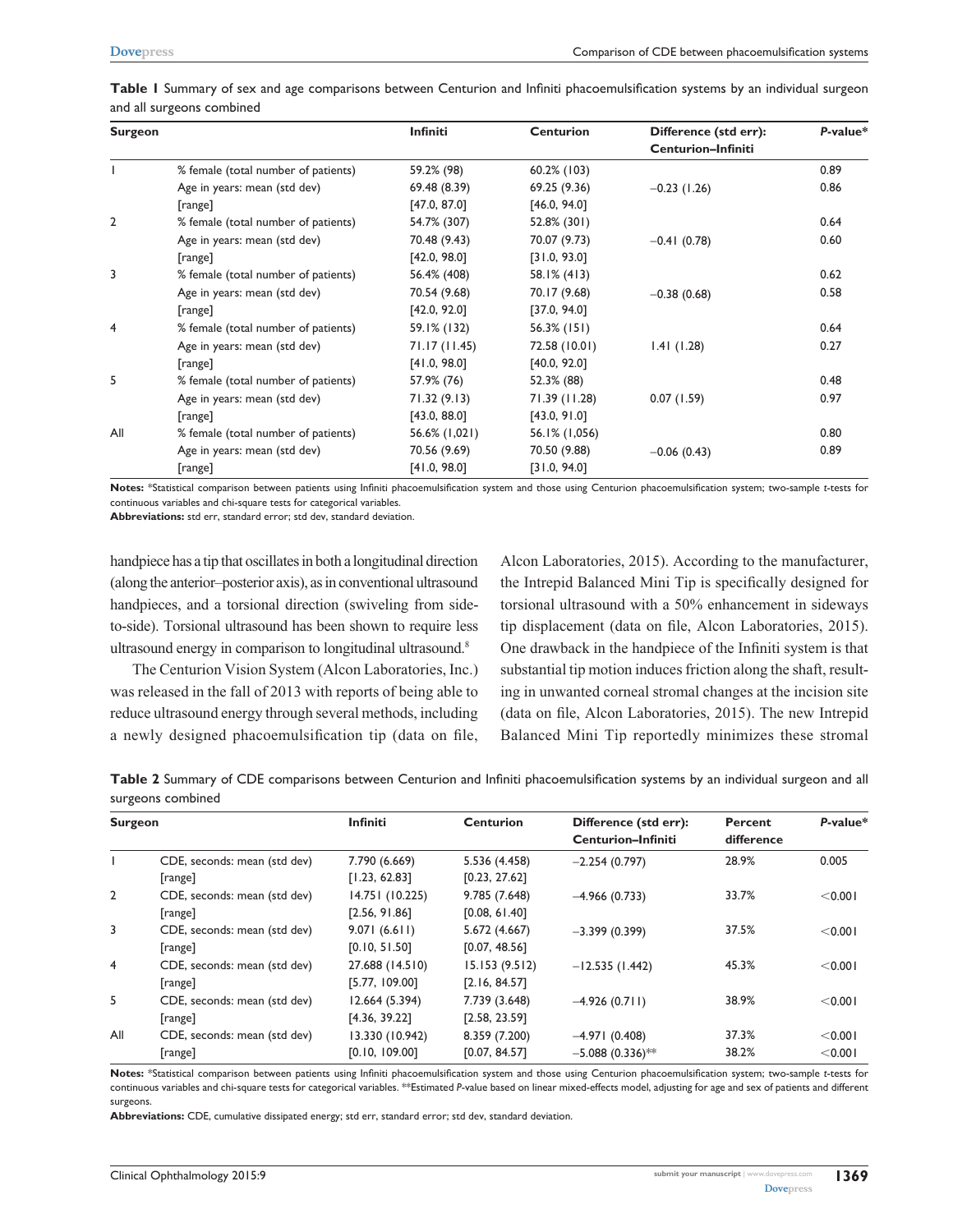| <b>Surgeon</b> |                                     | <b>Infiniti</b> | <b>Centurion</b> | Difference (std err):     | P-value* |
|----------------|-------------------------------------|-----------------|------------------|---------------------------|----------|
|                |                                     |                 |                  | <b>Centurion-Infiniti</b> |          |
|                | % female (total number of patients) | 59.2% (98)      | 60.2% (103)      |                           | 0.89     |
|                | Age in years: mean (std dev)        | 69.48 (8.39)    | 69.25 (9.36)     | $-0.23(1.26)$             | 0.86     |
|                | [range]                             | [47.0, 87.0]    | [46.0, 94.0]     |                           |          |
| $\overline{2}$ | % female (total number of patients) | 54.7% (307)     | 52.8% (301)      |                           | 0.64     |
|                | Age in years: mean (std dev)        | 70.48 (9.43)    | 70.07 (9.73)     | $-0.41(0.78)$             | 0.60     |
|                | [range]                             | [42.0, 98.0]    | [31.0, 93.0]     |                           |          |
| 3              | % female (total number of patients) | 56.4% (408)     | 58.1% (413)      |                           | 0.62     |
|                | Age in years: mean (std dev)        | 70.54 (9.68)    | 70.17 (9.68)     | $-0.38(0.68)$             | 0.58     |
|                | [range]                             | [42.0, 92.0]    | [37.0, 94.0]     |                           |          |
| 4              | % female (total number of patients) | 59.1% (132)     | 56.3% (151)      |                           | 0.64     |
|                | Age in years: mean (std dev)        | 71.17 (11.45)   | 72.58 (10.01)    | 1.41(1.28)                | 0.27     |
|                | [range]                             | [41.0, 98.0]    | [40.0, 92.0]     |                           |          |
| 5              | % female (total number of patients) | 57.9% (76)      | 52.3% (88)       |                           | 0.48     |
|                | Age in years: mean (std dev)        | 71.32(9.13)     | 71.39 (11.28)    | 0.07(1.59)                | 0.97     |
|                | [range]                             | [43.0, 88.0]    | [43.0, 91.0]     |                           |          |
| All            | % female (total number of patients) | 56.6% (1,021)   | 56.1% (1,056)    |                           | 0.80     |
|                | Age in years: mean (std dev)        | 70.56 (9.69)    | 70.50 (9.88)     | $-0.06(0.43)$             | 0.89     |
|                | [range]                             | [41.0, 98.0]    | [31.0, 94.0]     |                           |          |

| Table I Summary of sex and age comparisons between Centurion and Infiniti phacoemulsification systems by an individual surgeon |  |  |  |  |
|--------------------------------------------------------------------------------------------------------------------------------|--|--|--|--|
| and all surgeons combined                                                                                                      |  |  |  |  |

**Notes:** \*Statistical comparison between patients using Infiniti phacoemulsification system and those using Centurion phacoemulsification system; two-sample *t*-tests for continuous variables and chi-square tests for categorical variables.

**Abbreviations:** std err, standard error; std dev, standard deviation.

handpiece has a tip that oscillates in both a longitudinal direction (along the anterior–posterior axis), as in conventional ultrasound handpieces, and a torsional direction (swiveling from sideto-side). Torsional ultrasound has been shown to require less ultrasound energy in comparison to longitudinal ultrasound.8

The Centurion Vision System (Alcon Laboratories, Inc.) was released in the fall of 2013 with reports of being able to reduce ultrasound energy through several methods, including a newly designed phacoemulsification tip (data on file,

Alcon Laboratories, 2015). According to the manufacturer, the Intrepid Balanced Mini Tip is specifically designed for torsional ultrasound with a 50% enhancement in sideways tip displacement (data on file, Alcon Laboratories, 2015). One drawback in the handpiece of the Infiniti system is that substantial tip motion induces friction along the shaft, resulting in unwanted corneal stromal changes at the incision site (data on file, Alcon Laboratories, 2015). The new Intrepid Balanced Mini Tip reportedly minimizes these stromal

**Table 2** Summary of CDE comparisons between Centurion and Infiniti phacoemulsification systems by an individual surgeon and all surgeons combined

| <b>Surgeon</b> |                              | <b>Infiniti</b> | <b>Centurion</b> | Difference (std err):<br><b>Centurion-Infiniti</b> | Percent<br>difference | $P-value*$ |
|----------------|------------------------------|-----------------|------------------|----------------------------------------------------|-----------------------|------------|
|                | CDE, seconds: mean (std dev) | 7.790 (6.669)   | 5.536 (4.458)    | $-2.254(0.797)$                                    | 28.9%                 | 0.005      |
|                | [range]                      | [1.23, 62.83]   | [0.23, 27.62]    |                                                    |                       |            |
| $\overline{2}$ | CDE, seconds: mean (std dev) | 14.751 (10.225) | 9.785 (7.648)    | $-4.966(0.733)$                                    | 33.7%                 | < 0.001    |
|                | [range]                      | [2.56, 91.86]   | [0.08, 61.40]    |                                                    |                       |            |
| 3              | CDE, seconds: mean (std dev) | 9.071(6.611)    | 5.672 (4.667)    | $-3.399(0.399)$                                    | 37.5%                 | < 0.001    |
|                | [range]                      | [0.10, 51.50]   | [0.07, 48.56]    |                                                    |                       |            |
| $\overline{4}$ | CDE, seconds: mean (std dev) | 27.688 (14.510) | 15.153(9.512)    | $-12.535(1.442)$                                   | 45.3%                 | < 0.001    |
|                | [range]                      | [5.77, 109.00]  | [2.16, 84.57]    |                                                    |                       |            |
| 5              | CDE, seconds: mean (std dev) | 12.664 (5.394)  | 7.739 (3.648)    | $-4.926(0.711)$                                    | 38.9%                 | < 0.001    |
|                | [range]                      | [4.36, 39.22]   | [2.58, 23.59]    |                                                    |                       |            |
| All            | CDE, seconds: mean (std dev) | 13.330 (10.942) | 8.359 (7.200)    | $-4.971(0.408)$                                    | 37.3%                 | < 0.001    |
|                | [range]                      | [0.10, 109.00]  | [0.07, 84.57]    | $-5.088(0.336)$ **                                 | 38.2%                 | < 0.001    |

**Notes:** \*Statistical comparison between patients using Infiniti phacoemulsification system and those using Centurion phacoemulsification system; two-sample *t*-tests for continuous variables and chi-square tests for categorical variables. \*\*Estimated *P*-value based on linear mixed-effects model, adjusting for age and sex of patients and different surgeons.

**Abbreviations:** CDE, cumulative dissipated energy; std err, standard error; std dev, standard deviation.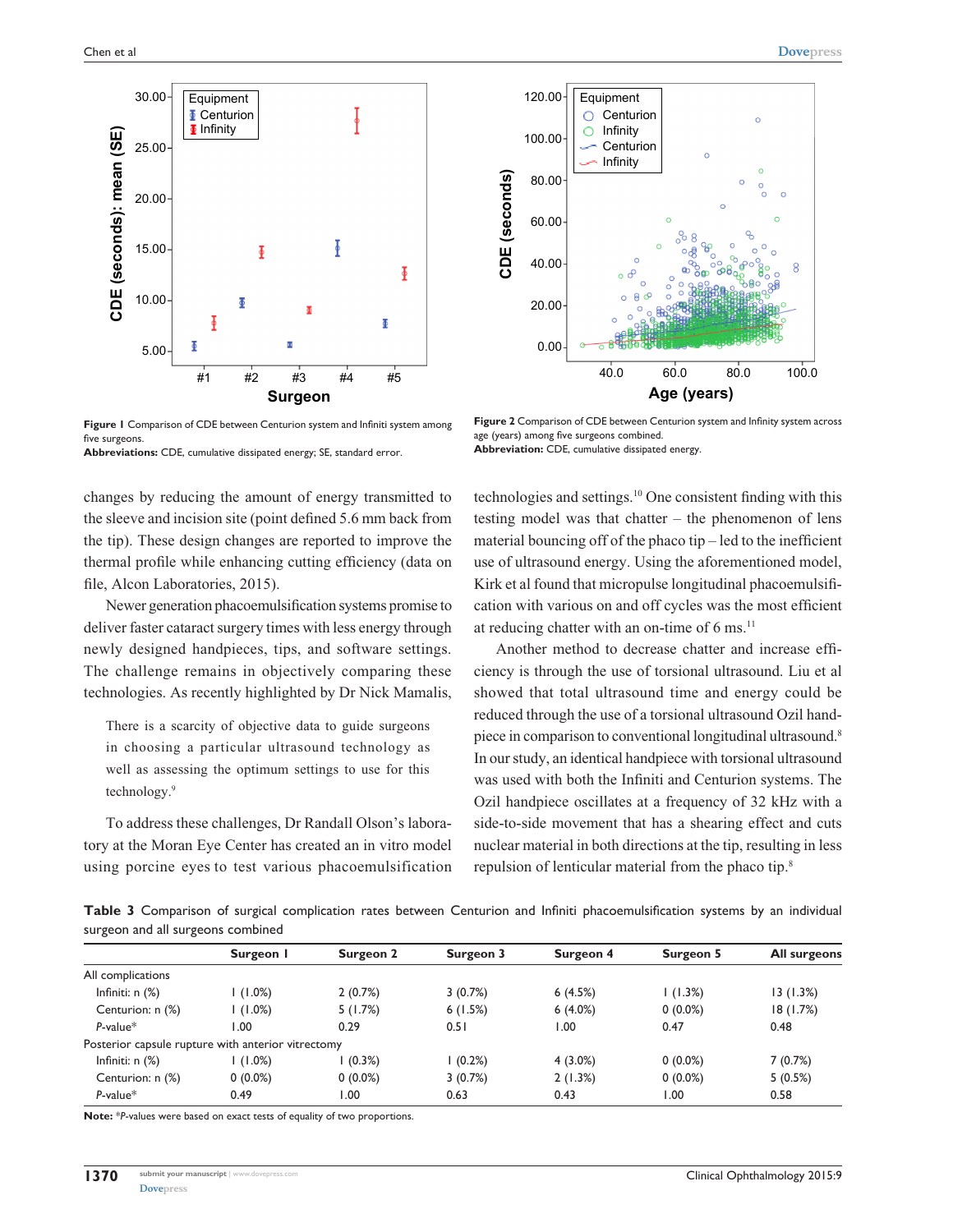

**Figure 1** Comparison of CDE between Centurion system and Infiniti system among five surgeons.

**Abbreviations:** CDE, cumulative dissipated energy; SE, standard error.

changes by reducing the amount of energy transmitted to the sleeve and incision site (point defined 5.6 mm back from the tip). These design changes are reported to improve the thermal profile while enhancing cutting efficiency (data on file, Alcon Laboratories, 2015).

Newer generation phacoemulsification systems promise to deliver faster cataract surgery times with less energy through newly designed handpieces, tips, and software settings. The challenge remains in objectively comparing these technologies. As recently highlighted by Dr Nick Mamalis,

There is a scarcity of objective data to guide surgeons in choosing a particular ultrasound technology as well as assessing the optimum settings to use for this technology.9

To address these challenges, Dr Randall Olson's laboratory at the Moran Eye Center has created an in vitro model using porcine eyes to test various phacoemulsification



**Figure 2** Comparison of CDE between Centurion system and Infinity system across age (years) among five surgeons combined. **Abbreviation:** CDE, cumulative dissipated energy.

technologies and settings.10 One consistent finding with this testing model was that chatter – the phenomenon of lens material bouncing off of the phaco tip – led to the inefficient use of ultrasound energy. Using the aforementioned model, Kirk et al found that micropulse longitudinal phacoemulsification with various on and off cycles was the most efficient at reducing chatter with an on-time of  $6 \text{ ms}$ .<sup>11</sup>

Another method to decrease chatter and increase efficiency is through the use of torsional ultrasound. Liu et al showed that total ultrasound time and energy could be reduced through the use of a torsional ultrasound Ozil handpiece in comparison to conventional longitudinal ultrasound.<sup>8</sup> In our study, an identical handpiece with torsional ultrasound was used with both the Infiniti and Centurion systems. The Ozil handpiece oscillates at a frequency of 32 kHz with a side-to-side movement that has a shearing effect and cuts nuclear material in both directions at the tip, resulting in less repulsion of lenticular material from the phaco tip.8

**Table 3** Comparison of surgical complication rates between Centurion and Infiniti phacoemulsification systems by an individual surgeon and all surgeons combined

|                                                    | Surgeon I  | Surgeon 2  | Surgeon 3 | Surgeon 4  | Surgeon 5  | All surgeons |
|----------------------------------------------------|------------|------------|-----------|------------|------------|--------------|
| All complications                                  |            |            |           |            |            |              |
| Infiniti: $n$ $(\%)$                               | $(1.0\%)$  | 2(0.7%)    | 3(0.7%)   | 6(4.5%)    | (1.3%)     | 13(1.3%)     |
| Centurion: n (%)                                   | $(1.0\%)$  | 5(1.7%)    | 6(1.5%)   | $6(4.0\%)$ | $0(0.0\%)$ | 18(1.7%)     |
| $P-value*$                                         | 1.00       | 0.29       | 0.51      | 00. ا      | 0.47       | 0.48         |
| Posterior capsule rupture with anterior vitrectomy |            |            |           |            |            |              |
| Infiniti: $n$ $(\%)$                               | $(1.0\%)$  | (0.3%)     | (0.2%)    | $4(3.0\%)$ | $0(0.0\%)$ | 7(0.7%)      |
| Centurion: n (%)                                   | $0(0.0\%)$ | $0(0.0\%)$ | 3(0.7%)   | 2(1.3%)    | $0(0.0\%)$ | 5(0.5%)      |
| $P$ -value*                                        | 0.49       | 00. ا      | 0.63      | 0.43       | 1.00       | 0.58         |

**Note:** \**P*-values were based on exact tests of equality of two proportions.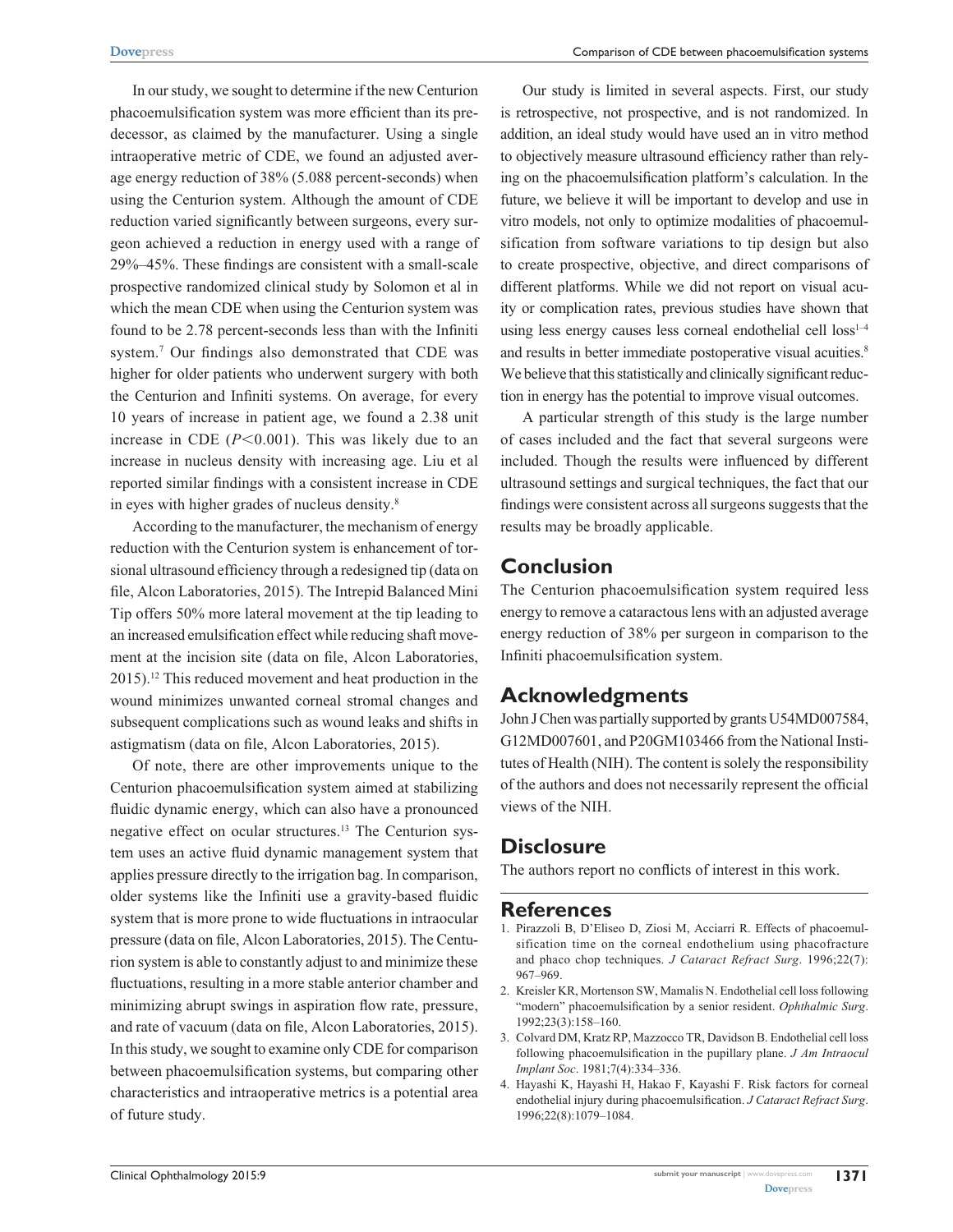In our study, we sought to determine if the new Centurion phacoemulsification system was more efficient than its predecessor, as claimed by the manufacturer. Using a single intraoperative metric of CDE, we found an adjusted average energy reduction of 38% (5.088 percent-seconds) when using the Centurion system. Although the amount of CDE reduction varied significantly between surgeons, every surgeon achieved a reduction in energy used with a range of 29%–45%. These findings are consistent with a small-scale prospective randomized clinical study by Solomon et al in which the mean CDE when using the Centurion system was found to be 2.78 percent-seconds less than with the Infiniti system.7 Our findings also demonstrated that CDE was higher for older patients who underwent surgery with both the Centurion and Infiniti systems. On average, for every 10 years of increase in patient age, we found a 2.38 unit increase in CDE  $(P<0.001)$ . This was likely due to an increase in nucleus density with increasing age. Liu et al reported similar findings with a consistent increase in CDE in eyes with higher grades of nucleus density.8

According to the manufacturer, the mechanism of energy reduction with the Centurion system is enhancement of torsional ultrasound efficiency through a redesigned tip (data on file, Alcon Laboratories, 2015). The Intrepid Balanced Mini Tip offers 50% more lateral movement at the tip leading to an increased emulsification effect while reducing shaft movement at the incision site (data on file, Alcon Laboratories, 2015).12 This reduced movement and heat production in the wound minimizes unwanted corneal stromal changes and subsequent complications such as wound leaks and shifts in astigmatism (data on file, Alcon Laboratories, 2015).

Of note, there are other improvements unique to the Centurion phacoemulsification system aimed at stabilizing fluidic dynamic energy, which can also have a pronounced negative effect on ocular structures.13 The Centurion system uses an active fluid dynamic management system that applies pressure directly to the irrigation bag. In comparison, older systems like the Infiniti use a gravity-based fluidic system that is more prone to wide fluctuations in intraocular pressure (data on file, Alcon Laboratories, 2015). The Centurion system is able to constantly adjust to and minimize these fluctuations, resulting in a more stable anterior chamber and minimizing abrupt swings in aspiration flow rate, pressure, and rate of vacuum (data on file, Alcon Laboratories, 2015). In this study, we sought to examine only CDE for comparison between phacoemulsification systems, but comparing other characteristics and intraoperative metrics is a potential area of future study.

Our study is limited in several aspects. First, our study is retrospective, not prospective, and is not randomized. In addition, an ideal study would have used an in vitro method to objectively measure ultrasound efficiency rather than relying on the phacoemulsification platform's calculation. In the future, we believe it will be important to develop and use in vitro models, not only to optimize modalities of phacoemulsification from software variations to tip design but also to create prospective, objective, and direct comparisons of different platforms. While we did not report on visual acuity or complication rates, previous studies have shown that using less energy causes less corneal endothelial cell  $loss<sup>1-4</sup>$ and results in better immediate postoperative visual acuities.<sup>8</sup> We believe that this statistically and clinically significant reduction in energy has the potential to improve visual outcomes.

A particular strength of this study is the large number of cases included and the fact that several surgeons were included. Though the results were influenced by different ultrasound settings and surgical techniques, the fact that our findings were consistent across all surgeons suggests that the results may be broadly applicable.

#### **Conclusion**

The Centurion phacoemulsification system required less energy to remove a cataractous lens with an adjusted average energy reduction of 38% per surgeon in comparison to the Infiniti phacoemulsification system.

## **Acknowledgments**

John J Chen was partially supported by grants U54MD007584, G12MD007601, and P20GM103466 from the National Institutes of Health (NIH). The content is solely the responsibility of the authors and does not necessarily represent the official views of the NIH.

## **Disclosure**

The authors report no conflicts of interest in this work.

## **References**

- 1. Pirazzoli B, D'Eliseo D, Ziosi M, Acciarri R. Effects of phacoemulsification time on the corneal endothelium using phacofracture and phaco chop techniques. *J Cataract Refract Surg*. 1996;22(7): 967–969.
- 2. Kreisler KR, Mortenson SW, Mamalis N. Endothelial cell loss following "modern" phacoemulsification by a senior resident. *Ophthalmic Surg*. 1992;23(3):158–160.
- 3. Colvard DM, Kratz RP, Mazzocco TR, Davidson B. Endothelial cell loss following phacoemulsification in the pupillary plane. *J Am Intraocul Implant Soc*. 1981;7(4):334–336.
- 4. Hayashi K, Hayashi H, Hakao F, Kayashi F. Risk factors for corneal endothelial injury during phacoemulsification. *J Cataract Refract Surg*. 1996;22(8):1079–1084.